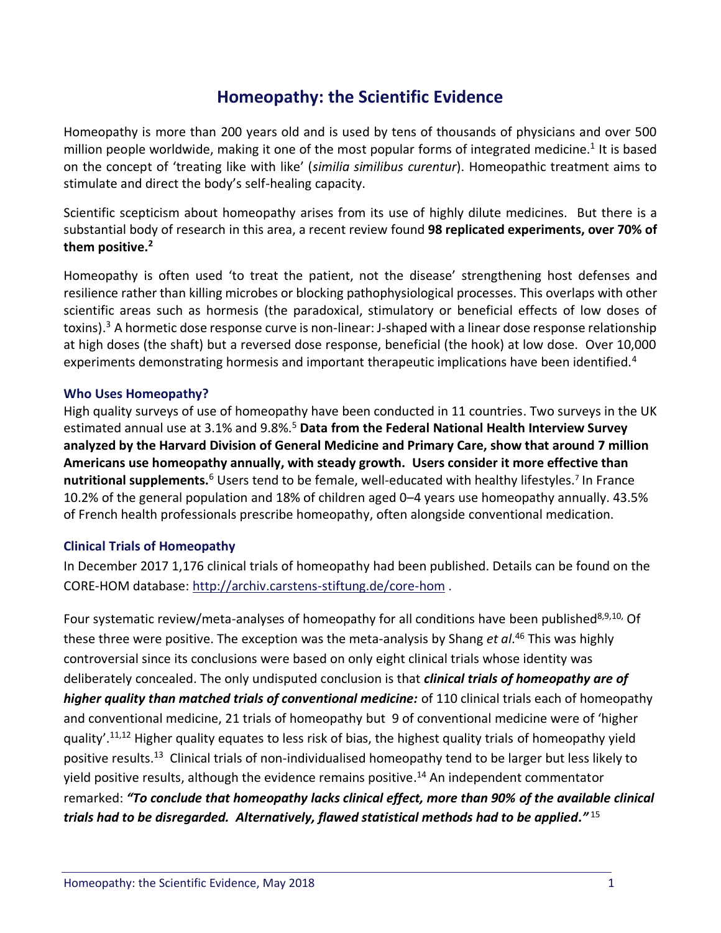# **Homeopathy: the Scientific Evidence**

Homeopathy is more than 200 years old and is used by tens of thousands of physicians and over 500 million people worldwide, making it one of the most popular forms of integrated medicine.<sup>1</sup> It is based on the concept of 'treating like with like' (*similia similibus curentur*). Homeopathic treatment aims to stimulate and direct the body's self-healing capacity.

Scientific scepticism about homeopathy arises from its use of highly dilute medicines. But there is a substantial body of research in this area, a recent review found **98 replicated experiments, over 70% of them positive.<sup>2</sup>**

Homeopathy is often used 'to treat the patient, not the disease' strengthening host defenses and resilience rather than killing microbes or blocking pathophysiological processes. This overlaps with other scientific areas such as hormesis (the paradoxical, stimulatory or beneficial effects of low doses of toxins).<sup>3</sup> A hormetic dose response curve is non-linear: J-shaped with a linear dose response relationship at high doses (the shaft) but a reversed dose response, beneficial (the hook) at low dose. Over 10,000 experiments demonstrating hormesis and important therapeutic implications have been identified.<sup>4</sup>

#### **Who Uses Homeopathy?**

High quality surveys of use of homeopathy have been conducted in 11 countries. Two surveys in the UK estimated annual use at 3.1% and 9.8%.<sup>5</sup> **Data from the Federal National Health Interview Survey analyzed by the Harvard Division of General Medicine and Primary Care, show that around 7 million Americans use homeopathy annually, with steady growth. Users consider it more effective than**  nutritional supplements.<sup>6</sup> Users tend to be female, well-educated with healthy lifestyles.<sup>7</sup> In France 10.2% of the general population and 18% of children aged 0–4 years use homeopathy annually. 43.5% of French health professionals prescribe homeopathy, often alongside conventional medication.

#### **Clinical Trials of Homeopathy**

In December 2017 1,176 clinical trials of homeopathy had been published. Details can be found on the CORE-HOM database:<http://archiv.carstens-stiftung.de/core-hom> .

Four systematic review/meta-analyses of homeopathy for all conditions have been published<sup>8,9,10,</sup> Of these three were positive. The exception was the meta-analysis by Shang *et al*. <sup>46</sup> This was highly controversial since its conclusions were based on only eight clinical trials whose identity was deliberately concealed. The only undisputed conclusion is that *clinical trials of homeopathy are of higher quality than matched trials of conventional medicine:* of 110 clinical trials each of homeopathy and conventional medicine, 21 trials of homeopathy but 9 of conventional medicine were of 'higher quality'.11,12 Higher quality equates to less risk of bias, the highest quality trials of homeopathy yield positive results.<sup>13</sup> Clinical trials of non-individualised homeopathy tend to be larger but less likely to yield positive results, although the evidence remains positive. <sup>14</sup> An independent commentator remarked: *"To conclude that homeopathy lacks clinical effect, more than 90% of the available clinical trials had to be disregarded. Alternatively, flawed statistical methods had to be applied."* <sup>15</sup>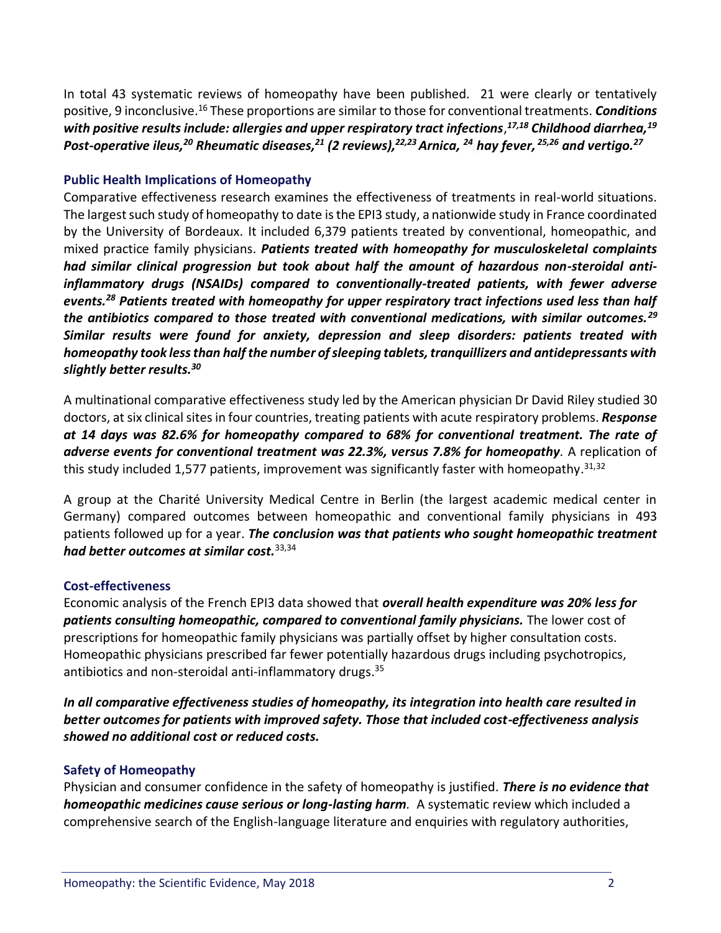In total 43 systematic reviews of homeopathy have been published. 21 were clearly or tentatively positive, 9 inconclusive.<sup>16</sup> These proportions are similar to those for conventional treatments. *Conditions with positive results include: allergies and upper respiratory tract infections*, *17,18 Childhood diarrhea, 19 Post-operative ileus,<sup>20</sup> Rheumatic diseases, <sup>21</sup> (2 reviews), 22,23 Arnica, <sup>24</sup> hay fever, 25,26 and vertigo.<sup>27</sup>*

#### **Public Health Implications of Homeopathy**

Comparative effectiveness research examines the effectiveness of treatments in real-world situations. The largest such study of homeopathy to date is the EPI3 study, a nationwide study in France coordinated by the University of Bordeaux. It included 6,379 patients treated by conventional, homeopathic, and mixed practice family physicians. *Patients treated with homeopathy for musculoskeletal complaints had similar clinical progression but took about half the amount of hazardous non-steroidal antiinflammatory drugs (NSAIDs) compared to conventionally-treated patients, with fewer adverse events.<sup>28</sup> Patients treated with homeopathy for upper respiratory tract infections used less than half the antibiotics compared to those treated with conventional medications, with similar outcomes.<sup>29</sup> Similar results were found for anxiety, depression and sleep disorders: patients treated with homeopathy took less than half the number of sleeping tablets, tranquillizers and antidepressants with slightly better results. 30*

A multinational comparative effectiveness study led by the American physician Dr David Riley studied 30 doctors, at six clinical sites in four countries, treating patients with acute respiratory problems. *Response at 14 days was 82.6% for homeopathy compared to 68% for conventional treatment. The rate of adverse events for conventional treatment was 22.3%, versus 7.8% for homeopathy.* A replication of this study included 1,577 patients, improvement was significantly faster with homeopathy.<sup>31,32</sup>

A group at the Charité University Medical Centre in Berlin (the largest academic medical center in Germany) compared outcomes between homeopathic and conventional family physicians in 493 patients followed up for a year. *The conclusion was that patients who sought homeopathic treatment had better outcomes at similar cost.*33,34

## **Cost-effectiveness**

Economic analysis of the French EPI3 data showed that *overall health expenditure was 20% less for patients consulting homeopathic, compared to conventional family physicians.* The lower cost of prescriptions for homeopathic family physicians was partially offset by higher consultation costs. Homeopathic physicians prescribed far fewer potentially hazardous drugs including psychotropics, antibiotics and non-steroidal anti-inflammatory drugs.<sup>35</sup>

*In all comparative effectiveness studies of homeopathy, its integration into health care resulted in better outcomes for patients with improved safety. Those that included cost-effectiveness analysis showed no additional cost or reduced costs.* 

## **Safety of Homeopathy**

Physician and consumer confidence in the safety of homeopathy is justified. *There is no evidence that homeopathic medicines cause serious or long-lasting harm.* A systematic review which included a comprehensive search of the English-language literature and enquiries with regulatory authorities,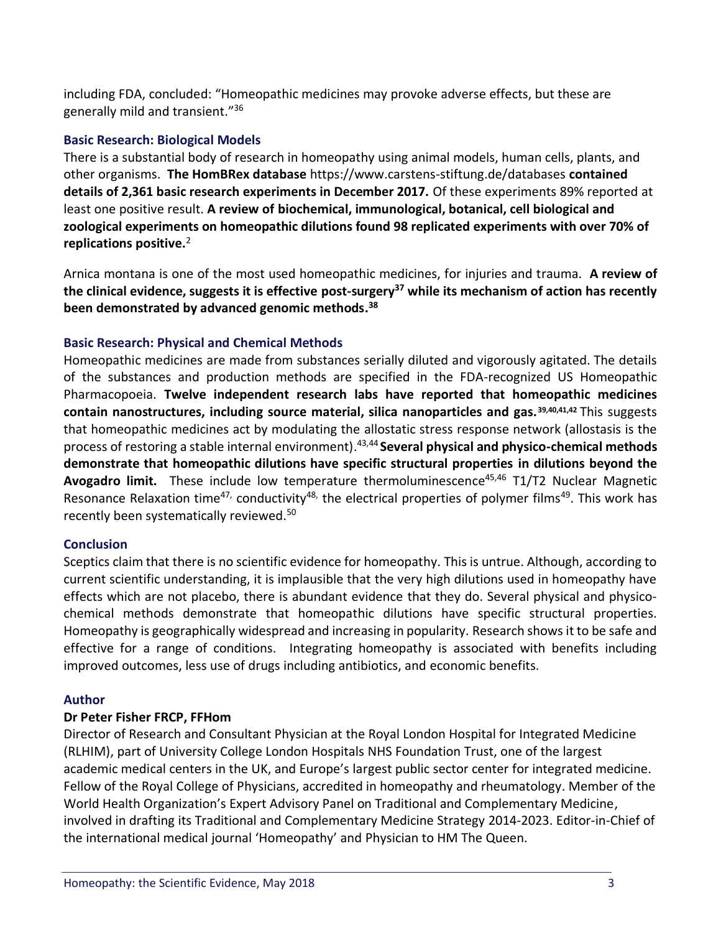including FDA, concluded: "Homeopathic medicines may provoke adverse effects, but these are generally mild and transient."<sup>36</sup>

#### **Basic Research: Biological Models**

There is a substantial body of research in homeopathy using animal models, human cells, plants, and other organisms. **The HomBRex database** <https://www.carstens-stiftung.de/databases> **contained details of 2,361 basic research experiments in December 2017.** Of these experiments 89% reported at least one positive result. **A review of biochemical, immunological, botanical, cell biological and zoological experiments on homeopathic dilutions found 98 replicated experiments with over 70% of replications positive.**<sup>2</sup>

Arnica montana is one of the most used homeopathic medicines, for injuries and trauma. **A review of the clinical evidence, suggests it is effective post-surgery<sup>37</sup> while its mechanism of action has recently been demonstrated by advanced genomic methods. 38**

## **Basic Research: Physical and Chemical Methods**

Homeopathic medicines are made from substances serially diluted and vigorously agitated. The details of the substances and production methods are specified in the FDA-recognized US Homeopathic Pharmacopoeia. **Twelve independent research labs have reported that homeopathic medicines contain nanostructures, including source material, silica nanoparticles and gas.39,40,41,42** This suggests that homeopathic medicines act by modulating the allostatic stress response network (allostasis is the process of restoring a stable internal environment). 43,44 **Several physical and physico-chemical methods demonstrate that homeopathic dilutions have specific structural properties in dilutions beyond the Avogadro limit.** These include low temperature thermoluminescence 45,46 T1/T2 Nuclear Magnetic Resonance Relaxation time<sup>47,</sup> conductivity<sup>48,</sup> the electrical properties of polymer films<sup>49</sup>. This work has recently been systematically reviewed.<sup>50</sup>

## **Conclusion**

Sceptics claim that there is no scientific evidence for homeopathy. This is untrue. Although, according to current scientific understanding, it is implausible that the very high dilutions used in homeopathy have effects which are not placebo, there is abundant evidence that they do. Several physical and physicochemical methods demonstrate that homeopathic dilutions have specific structural properties. Homeopathy is geographically widespread and increasing in popularity. Research showsit to be safe and effective for a range of conditions. Integrating homeopathy is associated with benefits including improved outcomes, less use of drugs including antibiotics, and economic benefits.

## **Author**

## **Dr Peter Fisher FRCP, FFHom**

Director of Research and Consultant Physician at the Royal London Hospital for Integrated Medicine (RLHIM), part of University College London Hospitals NHS Foundation Trust, one of the largest academic medical centers in the UK, and Europe's largest public sector center for integrated medicine. Fellow of the Royal College of Physicians, accredited in homeopathy and rheumatology. Member of the World Health Organization's Expert Advisory Panel on Traditional and Complementary Medicine, involved in drafting its Traditional and Complementary Medicine Strategy 2014-2023. Editor-in-Chief of the international medical journal 'Homeopathy' and Physician to HM The Queen.